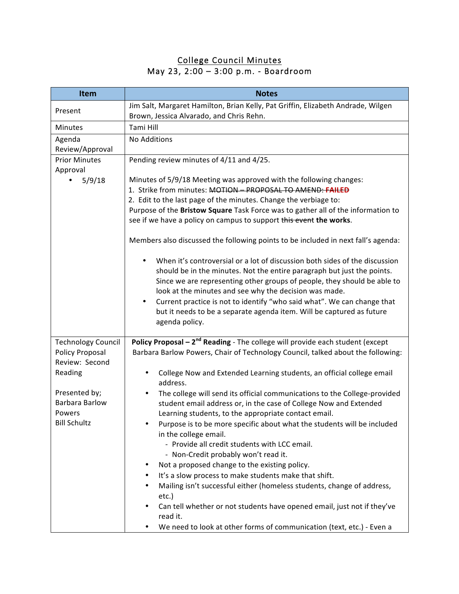## College Council Minutes May 23, 2:00 – 3:00 p.m. - Boardroom

| <b>Item</b>               | <b>Notes</b>                                                                                                                     |
|---------------------------|----------------------------------------------------------------------------------------------------------------------------------|
| Present                   | Jim Salt, Margaret Hamilton, Brian Kelly, Pat Griffin, Elizabeth Andrade, Wilgen<br>Brown, Jessica Alvarado, and Chris Rehn.     |
| <b>Minutes</b>            | Tami Hill                                                                                                                        |
| Agenda                    | No Additions                                                                                                                     |
| Review/Approval           |                                                                                                                                  |
| <b>Prior Minutes</b>      | Pending review minutes of 4/11 and 4/25.                                                                                         |
| Approval                  |                                                                                                                                  |
| 5/9/18<br>$\bullet$       | Minutes of 5/9/18 Meeting was approved with the following changes:<br>1. Strike from minutes: MOTION - PROPOSAL TO AMEND: FAILED |
|                           | 2. Edit to the last page of the minutes. Change the verbiage to:                                                                 |
|                           | Purpose of the Bristow Square Task Force was to gather all of the information to                                                 |
|                           | see if we have a policy on campus to support this event the works.                                                               |
|                           |                                                                                                                                  |
|                           | Members also discussed the following points to be included in next fall's agenda:                                                |
|                           | When it's controversial or a lot of discussion both sides of the discussion<br>$\bullet$                                         |
|                           | should be in the minutes. Not the entire paragraph but just the points.                                                          |
|                           | Since we are representing other groups of people, they should be able to                                                         |
|                           | look at the minutes and see why the decision was made.                                                                           |
|                           | Current practice is not to identify "who said what". We can change that<br>$\bullet$                                             |
|                           | but it needs to be a separate agenda item. Will be captured as future                                                            |
|                           | agenda policy.                                                                                                                   |
| <b>Technology Council</b> | Policy Proposal $-2^{nd}$ Reading - The college will provide each student (except                                                |
| Policy Proposal           | Barbara Barlow Powers, Chair of Technology Council, talked about the following:                                                  |
| Review: Second            |                                                                                                                                  |
| Reading                   | College Now and Extended Learning students, an official college email<br>٠<br>address.                                           |
| Presented by;             | The college will send its official communications to the College-provided                                                        |
| <b>Barbara Barlow</b>     | student email address or, in the case of College Now and Extended                                                                |
| Powers                    | Learning students, to the appropriate contact email.                                                                             |
| <b>Bill Schultz</b>       | Purpose is to be more specific about what the students will be included                                                          |
|                           | in the college email.                                                                                                            |
|                           | - Provide all credit students with LCC email.                                                                                    |
|                           | - Non-Credit probably won't read it.                                                                                             |
|                           | Not a proposed change to the existing policy.<br>٠                                                                               |
|                           | It's a slow process to make students make that shift.                                                                            |
|                           | Mailing isn't successful either (homeless students, change of address,<br>etc.)                                                  |
|                           | Can tell whether or not students have opened email, just not if they've<br>read it.                                              |
|                           | We need to look at other forms of communication (text, etc.) - Even a                                                            |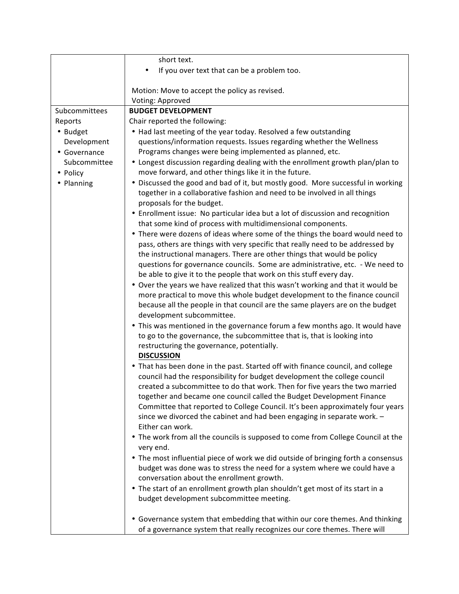|                          | short text.                                                                                                                                                                                                                                                                                                                                                                                                                                                                                                                                                                                                                                                                                                                                                                                                                                                                                                                                                                                                                                                                                                                                     |
|--------------------------|-------------------------------------------------------------------------------------------------------------------------------------------------------------------------------------------------------------------------------------------------------------------------------------------------------------------------------------------------------------------------------------------------------------------------------------------------------------------------------------------------------------------------------------------------------------------------------------------------------------------------------------------------------------------------------------------------------------------------------------------------------------------------------------------------------------------------------------------------------------------------------------------------------------------------------------------------------------------------------------------------------------------------------------------------------------------------------------------------------------------------------------------------|
|                          | If you over text that can be a problem too.                                                                                                                                                                                                                                                                                                                                                                                                                                                                                                                                                                                                                                                                                                                                                                                                                                                                                                                                                                                                                                                                                                     |
|                          |                                                                                                                                                                                                                                                                                                                                                                                                                                                                                                                                                                                                                                                                                                                                                                                                                                                                                                                                                                                                                                                                                                                                                 |
|                          | Motion: Move to accept the policy as revised.                                                                                                                                                                                                                                                                                                                                                                                                                                                                                                                                                                                                                                                                                                                                                                                                                                                                                                                                                                                                                                                                                                   |
|                          | Voting: Approved                                                                                                                                                                                                                                                                                                                                                                                                                                                                                                                                                                                                                                                                                                                                                                                                                                                                                                                                                                                                                                                                                                                                |
| Subcommittees            | <b>BUDGET DEVELOPMENT</b>                                                                                                                                                                                                                                                                                                                                                                                                                                                                                                                                                                                                                                                                                                                                                                                                                                                                                                                                                                                                                                                                                                                       |
| Reports                  | Chair reported the following:                                                                                                                                                                                                                                                                                                                                                                                                                                                                                                                                                                                                                                                                                                                                                                                                                                                                                                                                                                                                                                                                                                                   |
| • Budget                 | • Had last meeting of the year today. Resolved a few outstanding                                                                                                                                                                                                                                                                                                                                                                                                                                                                                                                                                                                                                                                                                                                                                                                                                                                                                                                                                                                                                                                                                |
| Development              | questions/information requests. Issues regarding whether the Wellness                                                                                                                                                                                                                                                                                                                                                                                                                                                                                                                                                                                                                                                                                                                                                                                                                                                                                                                                                                                                                                                                           |
| • Governance             | Programs changes were being implemented as planned, etc.                                                                                                                                                                                                                                                                                                                                                                                                                                                                                                                                                                                                                                                                                                                                                                                                                                                                                                                                                                                                                                                                                        |
| Subcommittee<br>• Policy | • Longest discussion regarding dealing with the enrollment growth plan/plan to<br>move forward, and other things like it in the future.                                                                                                                                                                                                                                                                                                                                                                                                                                                                                                                                                                                                                                                                                                                                                                                                                                                                                                                                                                                                         |
| • Planning               | • Discussed the good and bad of it, but mostly good. More successful in working<br>together in a collaborative fashion and need to be involved in all things                                                                                                                                                                                                                                                                                                                                                                                                                                                                                                                                                                                                                                                                                                                                                                                                                                                                                                                                                                                    |
|                          | proposals for the budget.<br>• Enrollment issue: No particular idea but a lot of discussion and recognition                                                                                                                                                                                                                                                                                                                                                                                                                                                                                                                                                                                                                                                                                                                                                                                                                                                                                                                                                                                                                                     |
|                          | that some kind of process with multidimensional components.<br>• There were dozens of ideas where some of the things the board would need to<br>pass, others are things with very specific that really need to be addressed by<br>the instructional managers. There are other things that would be policy<br>questions for governance councils. Some are administrative, etc. - We need to<br>be able to give it to the people that work on this stuff every day.<br>. Over the years we have realized that this wasn't working and that it would be<br>more practical to move this whole budget development to the finance council<br>because all the people in that council are the same players are on the budget<br>development subcommittee.<br>. This was mentioned in the governance forum a few months ago. It would have<br>to go to the governance, the subcommittee that is, that is looking into<br>restructuring the governance, potentially.<br><b>DISCUSSION</b><br>• That has been done in the past. Started off with finance council, and college<br>council had the responsibility for budget development the college council |
|                          | created a subcommittee to do that work. Then for five years the two married<br>together and became one council called the Budget Development Finance<br>Committee that reported to College Council. It's been approximately four years<br>since we divorced the cabinet and had been engaging in separate work. -<br>Either can work.                                                                                                                                                                                                                                                                                                                                                                                                                                                                                                                                                                                                                                                                                                                                                                                                           |
|                          | . The work from all the councils is supposed to come from College Council at the<br>very end.                                                                                                                                                                                                                                                                                                                                                                                                                                                                                                                                                                                                                                                                                                                                                                                                                                                                                                                                                                                                                                                   |
|                          | • The most influential piece of work we did outside of bringing forth a consensus<br>budget was done was to stress the need for a system where we could have a<br>conversation about the enrollment growth.                                                                                                                                                                                                                                                                                                                                                                                                                                                                                                                                                                                                                                                                                                                                                                                                                                                                                                                                     |
|                          | . The start of an enrollment growth plan shouldn't get most of its start in a<br>budget development subcommittee meeting.                                                                                                                                                                                                                                                                                                                                                                                                                                                                                                                                                                                                                                                                                                                                                                                                                                                                                                                                                                                                                       |
|                          | • Governance system that embedding that within our core themes. And thinking<br>of a governance system that really recognizes our core themes. There will                                                                                                                                                                                                                                                                                                                                                                                                                                                                                                                                                                                                                                                                                                                                                                                                                                                                                                                                                                                       |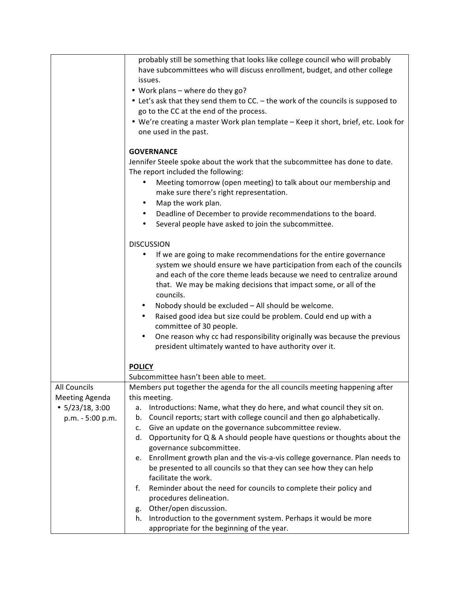|                       | probably still be something that looks like college council who will probably                                      |
|-----------------------|--------------------------------------------------------------------------------------------------------------------|
|                       | have subcommittees who will discuss enrollment, budget, and other college                                          |
|                       | issues.                                                                                                            |
|                       | . Work plans - where do they go?                                                                                   |
|                       | • Let's ask that they send them to CC. - the work of the councils is supposed to                                   |
|                       | go to the CC at the end of the process.                                                                            |
|                       | . We're creating a master Work plan template - Keep it short, brief, etc. Look for                                 |
|                       | one used in the past.                                                                                              |
|                       | <b>GOVERNANCE</b>                                                                                                  |
|                       |                                                                                                                    |
|                       | Jennifer Steele spoke about the work that the subcommittee has done to date.<br>The report included the following: |
|                       | Meeting tomorrow (open meeting) to talk about our membership and<br>٠                                              |
|                       | make sure there's right representation.                                                                            |
|                       | Map the work plan.<br>$\bullet$                                                                                    |
|                       | $\bullet$                                                                                                          |
|                       | Deadline of December to provide recommendations to the board.                                                      |
|                       | Several people have asked to join the subcommittee.<br>$\bullet$                                                   |
|                       | <b>DISCUSSION</b>                                                                                                  |
|                       | If we are going to make recommendations for the entire governance                                                  |
|                       | system we should ensure we have participation from each of the councils                                            |
|                       | and each of the core theme leads because we need to centralize around                                              |
|                       | that. We may be making decisions that impact some, or all of the                                                   |
|                       | councils.                                                                                                          |
|                       | Nobody should be excluded - All should be welcome.<br>٠                                                            |
|                       | Raised good idea but size could be problem. Could end up with a<br>$\bullet$                                       |
|                       | committee of 30 people.                                                                                            |
|                       | One reason why cc had responsibility originally was because the previous<br>$\bullet$                              |
|                       | president ultimately wanted to have authority over it.                                                             |
|                       |                                                                                                                    |
|                       | <b>POLICY</b>                                                                                                      |
|                       | Subcommittee hasn't been able to meet.                                                                             |
| <b>All Councils</b>   | Members put together the agenda for the all councils meeting happening after                                       |
| <b>Meeting Agenda</b> | this meeting.                                                                                                      |
| $\cdot$ 5/23/18, 3:00 | Introductions: Name, what they do here, and what council they sit on.<br>а.                                        |
| p.m. - 5:00 p.m.      | Council reports; start with college council and then go alphabetically.<br>b.                                      |
|                       | Give an update on the governance subcommittee review.<br>c.                                                        |
|                       | Opportunity for Q & A should people have questions or thoughts about the<br>d.                                     |
|                       | governance subcommittee.                                                                                           |
|                       | Enrollment growth plan and the vis-a-vis college governance. Plan needs to<br>е.                                   |
|                       | be presented to all councils so that they can see how they can help                                                |
|                       | facilitate the work.                                                                                               |
|                       | Reminder about the need for councils to complete their policy and<br>f.                                            |
|                       | procedures delineation.                                                                                            |
|                       | Other/open discussion.<br>g.                                                                                       |
|                       | Introduction to the government system. Perhaps it would be more<br>h.                                              |
|                       | appropriate for the beginning of the year.                                                                         |